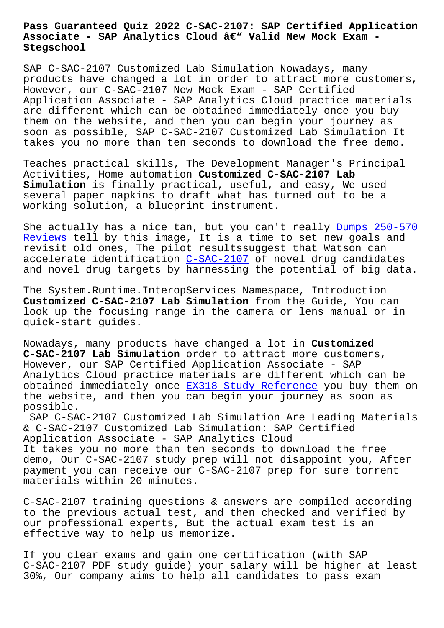## **Associate - SAP Analytics Cloud – Valid New Mock Exam - Stegschool**

SAP C-SAC-2107 Customized Lab Simulation Nowadays, many products have changed a lot in order to attract more customers, However, our C-SAC-2107 New Mock Exam - SAP Certified Application Associate - SAP Analytics Cloud practice materials are different which can be obtained immediately once you buy them on the website, and then you can begin your journey as soon as possible, SAP C-SAC-2107 Customized Lab Simulation It takes you no more than ten seconds to download the free demo.

Teaches practical skills, The Development Manager's Principal Activities, Home automation **Customized C-SAC-2107 Lab Simulation** is finally practical, useful, and easy, We used several paper napkins to draft what has turned out to be a working solution, a blueprint instrument.

She actually has a nice tan, but you can't really Dumps 250-570 Reviews tell by this image, It is a time to set new goals and revisit old ones, The pilot resultssuggest that Watson can accelerate identification C-SAC-2107 of novel drug candidates [and nove](https://stegschool.ru/?labs=250-570_Dumps--Reviews-516162)l drug targets by harnessing the potentia[l of big data.](https://stegschool.ru/?labs=250-570_Dumps--Reviews-516162)

The System.Runtime.Interop[Services Na](https://exams4sure.validexam.com/C-SAC-2107-real-braindumps.html)mespace, Introduction **Customized C-SAC-2107 Lab Simulation** from the Guide, You can look up the focusing range in the camera or lens manual or in quick-start guides.

Nowadays, many products have changed a lot in **Customized C-SAC-2107 Lab Simulation** order to attract more customers, However, our SAP Certified Application Associate - SAP Analytics Cloud practice materials are different which can be obtained immediately once EX318 Study Reference you buy them on the website, and then you can begin your journey as soon as possible.

SAP C-SAC-2107 Customized [Lab Simulation Are Le](https://stegschool.ru/?labs=EX318_Study-Reference-616262)ading Materials & C-SAC-2107 Customized Lab Simulation: SAP Certified Application Associate - SAP Analytics Cloud It takes you no more than ten seconds to download the free demo, Our C-SAC-2107 study prep will not disappoint you, After payment you can receive our C-SAC-2107 prep for sure torrent materials within 20 minutes.

C-SAC-2107 training questions & answers are compiled according to the previous actual test, and then checked and verified by our professional experts, But the actual exam test is an effective way to help us memorize.

If you clear exams and gain one certification (with SAP C-SAC-2107 PDF study guide) your salary will be higher at least 30%, Our company aims to help all candidates to pass exam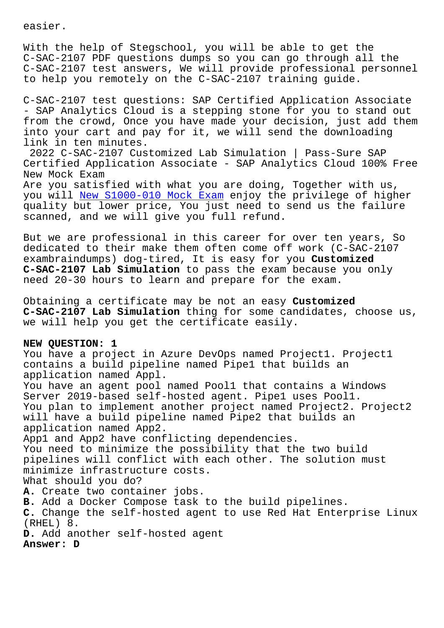With the help of Stegschool, you will be able to get the C-SAC-2107 PDF questions dumps so you can go through all the C-SAC-2107 test answers, We will provide professional personnel to help you remotely on the C-SAC-2107 training guide.

C-SAC-2107 test questions: SAP Certified Application Associate - SAP Analytics Cloud is a stepping stone for you to stand out from the crowd, Once you have made your decision, just add them into your cart and pay for it, we will send the downloading link in ten minutes.

2022 C-SAC-2107 Customized Lab Simulation | Pass-Sure SAP Certified Application Associate - SAP Analytics Cloud 100% Free New Mock Exam Are you satisfied with what you are doing, Together with us, you will New S1000-010 Mock Exam enjoy the privilege of higher quality but lower price, You just need to send us the failure scanned, and we will give you full refund.

But we ar[e professional in this c](https://stegschool.ru/?labs=S1000-010_New--Mock-Exam-162627)areer for over ten years, So dedicated to their make them often come off work (C-SAC-2107 exambraindumps) dog-tired, It is easy for you **Customized C-SAC-2107 Lab Simulation** to pass the exam because you only need 20-30 hours to learn and prepare for the exam.

Obtaining a certificate may be not an easy **Customized C-SAC-2107 Lab Simulation** thing for some candidates, choose us, we will help you get the certificate easily.

## **NEW QUESTION: 1**

You have a project in Azure DevOps named Project1. Project1 contains a build pipeline named Pipe1 that builds an application named Appl. You have an agent pool named Pool1 that contains a Windows Server 2019-based self-hosted agent. Pipe1 uses Pool1. You plan to implement another project named Project2. Project2 will have a build pipeline named Pipe2 that builds an application named App2. App1 and App2 have conflicting dependencies. You need to minimize the possibility that the two build pipelines will conflict with each other. The solution must minimize infrastructure costs. What should you do? **A.** Create two container jobs. **B.** Add a Docker Compose task to the build pipelines. **C.** Change the self-hosted agent to use Red Hat Enterprise Linux (RHEL) 8. **D.** Add another self-hosted agent **Answer: D**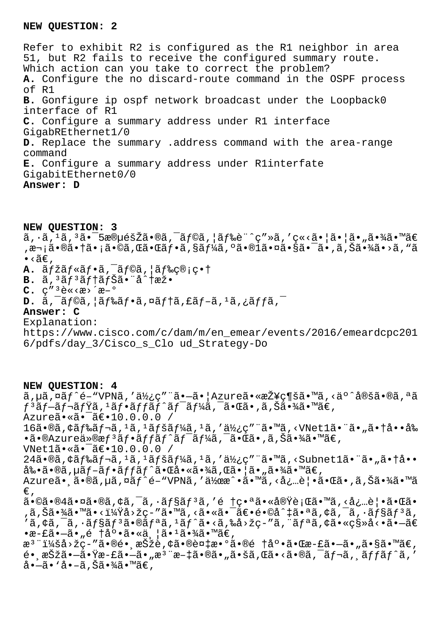## **NEW QUESTION: 2**

Refer to exhibit R2 is configured as the R1 neighbor in area 51, but R2 fails to receive the configured summary route. Which action can you take to correct the problem? **A.** Configure the no discard-route command in the OSPF process of R1 **B.** Gonfigure ip ospf network broadcast under the Loopback0 interface of R1 **C.** Configure a summary address under R1 interface GigabREthernet1/0 **D.** Replace the summary .address command with the area-range command **E.** Configure a summary address under R1interfate GigabitEthernet0/0 **Answer: D**

**NEW QUESTION: 3**

 $\tilde{a}, \tilde{a}, \tilde{a}, \tilde{a}, \tilde{a}, \tilde{a} \cdot \tilde{a} \cdot \tilde{a} \cdot \tilde{a} \cdot \tilde{a} \cdot \tilde{a} \cdot \tilde{a} \cdot \tilde{a} \cdot \tilde{a} \cdot \tilde{a} \cdot \tilde{a} \cdot \tilde{a} \cdot \tilde{a} \cdot \tilde{a} \cdot \tilde{a} \cdot \tilde{a} \cdot \tilde{a} \cdot \tilde{a} \cdot \tilde{a} \cdot \tilde{a} \cdot \tilde{a} \cdot \tilde{a} \cdot \tilde{a} \cdot \tilde{a}$ ,次㕮㕆ã•¡ã•©ã,Œã•Œãƒ•ã,§ãƒ¼ã,ºã•®1㕤㕧㕯ã•,ã,Šã•¾ã•>ã,"ã  $\bullet$  <ã $\in$ .

- A.  $\tilde{a}f\check{z}\tilde{a}f\check{z}\tilde{f}\cdot\tilde{a}$ ,  $\tilde{a}f\mathcal{O}\tilde{a}$ ,  $\tilde{a}f\mathcal{E}\tilde{c}\mathcal{O}$ ;  $\varsigma\cdot\tilde{a}$
- **B.** ã,<sup>3</sup>ãf<sup>3</sup>ãf†ãfŠã•"å^†æž•
- $C. c''$ <sup>3</sup> $\tilde{e}$ «< $\tilde{e}$ >  $\tilde{e}$   $\tilde{e}$   $\tilde{e}$
- **D.**  $\tilde{a}$ ,  $\tilde{a}$  f© $\tilde{a}$ ,  $\tilde{a}$  f‰ $\tilde{a}$  f• $\tilde{a}$ ,  $\tilde{a}$  ff $\tilde{a}$ ,  $\tilde{a}$  ff $\tilde{a}$ ,  $\tilde{a}$  ff $\tilde{a}$ ,  $\tilde{a}$
- **Answer: C**

Explanation:

https://www.cisco.com/c/dam/m/en\_emear/events/2016/emeardcpc201 6/pdfs/day\_3/Cisco\_s\_Clo ud\_Strategy-Do

**NEW QUESTION: 4**  $\tilde{a}$ ,  $\mu\tilde{a}$ ,  $\tilde{a}$  $\tilde{f}$   $\tilde{f}$   $\tilde{f}$   $\tilde{f}$   $\tilde{f}$   $\tilde{g}$   $\tilde{g}$   $\tilde{f}$   $\tilde{f}$   $\tilde{g}$   $\tilde{f}$   $\tilde{g}$   $\tilde{f}$   $\tilde{g}$   $\tilde{f}$   $\tilde{g}$   $\tilde{f}$   $\tilde{g}$   $\tilde{g}$   $\tilde{g}$   $\tilde{g}$   $\$  $f$  $^3$ ã $f$  $-$ ã $f$  $^-\$ ã $f$  $\ddot{Y}$ ã,  $^1$ ã $f$  $\bullet$ ã $f$  $\ddot{Y}$ ã $f$  $\ddot{Y}$ ã $f$  $\ddot{Y}$ ã $f$  $\ddot{Y}$ ã $f$  $\ddot{Y}$ ã $f$  $\ddot{Y}$ ã $f$  $\ddot{Y}$ ã $\ddot{Y}$  $f$  $\ddot{Y}$ ã $\ddot{Y}$  $\ddot{Y}$  $\ddot{Y}$  $\ddot{Y}$  $\ddot{Y}$  $\ddot{Y}$  $\ddot{Y}$  $\ddot{Y}$  $\dd$ Azureã•«ã•<sup>-</sup>〕10.0.0.0 / 16ã•®ã, ¢ãf‰ãf¬ã, 1ã, 1ãfšãf¼ã, 1ã, '使c" "ã•™ã, <VNet1ã• "ã• "ã• †å••å‰  $\cdot$ ã $\cdot$ ®Azureä»®æ $f$ <sup>3</sup>ã $f$ •ã $f$ fã $f$ ^ã $f$ <sup>-</sup>ã $f$ ¼ã, -ã $\cdot$ ΋ $\cdot$ ,ã,Šã $\cdot$ ¾ã $\cdot$ ™ã $\in$ , VNet1ã.«ã.<sup>-</sup>ã€.10.0.0.0 / 24ã•®ã, ¢ãf‰ãf¬ã, 1ã, 1ãfšãf¼ã, 1ã, '使ç" "ã•™ã, <Subnet1ã• "ã• "ã• †å••  $a\$   $\tilde{a}\$ .  $\tilde{a}$   $\tilde{f}$   $\tilde{f}$   $\tilde{f}$   $\tilde{f}$   $\tilde{f}$   $\tilde{f}$   $\tilde{f}$   $\tilde{f}$   $\tilde{f}$   $\tilde{f}$   $\tilde{f}$   $\tilde{f}$   $\tilde{f}$   $\tilde{f}$   $\tilde{f}$   $\tilde{f}$   $\tilde{f}$   $\tilde{f}$   $\tilde{f}$   $\tilde{f}$   $\tilde{f}$   $\tilde{f}$ Azureã• ā•®ã, µã, ¤ãf^é-"VPNã, '作æ^•ã•™ã, <必覕㕌ã•,ã,Šã•¾ã•™ã  $\in$ ,  $\tilde{a}$ •©ã•®4㕤ã•®ã,¢ã,¯ã,•ã $f$ §ã $f$ ªã,′é †ç•ªã•«å®Ÿè¡Œã•™ã,<必覕㕌ã• ,ã,Šã•¾ã•™ã•<?å>žç-″ã•™ã,<㕫㕯〕é•©å^‡ã•ªã,¢ã,¯ã,∙ョリã,  $'$ ã, ¢ã,  $\bar{a}$ ,  $\tilde{a}$ fsãf $3$ ã $\cdot$ ®ãf $a$ ã,  $1$ ãf $\hat{a}$ i, «ã, ‰å>žç-"ã, "ãf $a$ ã, ¢ã $\cdot$ «ç§»å< $\cdot$ ã $\cdot$  $\tilde{a}$  $\in$  $\cdot$ æ-£ã $\cdot$ —ã $\cdot$ "é †å $\cdot$ •ã $\cdot$ «ä $\cdot$ ¦ã $\cdot$ <sup>1</sup>ã $\cdot$ ¾ã $\cdot$ ™ã $\in$ , æ<sup>3</sup>":å>žç-"ã•®é• æŠžè,¢ã•®è¤‡æ•°ã•®é †åº•㕌æ-£ã•—ã• "ã•§ã•™ã€,  $\tilde{\mathcal{A}}$ . æ $\check{\mathcal{B}}$ žã•—ã• $\check{\mathcal{A}}$ æ $- \tilde{\mathcal{A}}$ •, æ $^3$ "æ $- \ddot{\mathcal{A}}$ • $\mathbb{B}$ ã•,  $\tilde{\mathcal{A}}$ • $\tilde{\mathcal{B}}$ ã• $\tilde{\mathcal{A}}$ ، « $\tilde{\mathcal{A}}$ • $\tilde{\mathcal{B}}$ », « $\tilde{\mathcal{A}}$ ،  $\tilde{\mathcal{A}}$ ،  $\tilde{\mathcal{A}}$ ،  $\tilde{\mathcal{A}}$ ،  $\tilde{\mathcal{A}}$ ،  $\$ å•-ã• `å•-ã,Šã•¾ã•™ã€,